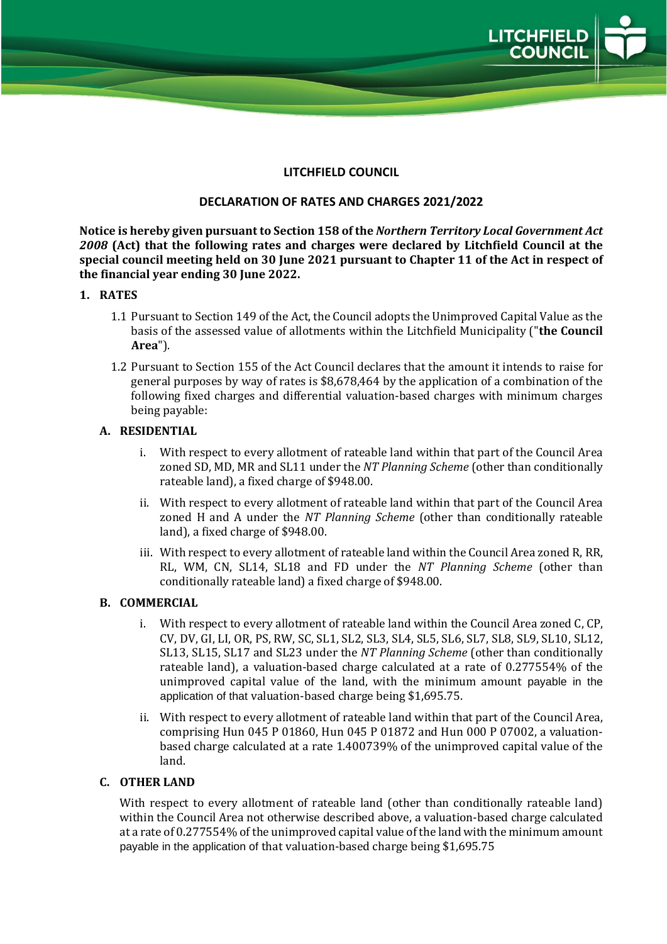

## **LITCHFIELD COUNCIL**

## **DECLARATION OF RATES AND CHARGES 2021/2022**

**Notice is hereby given pursuant to Section 158 of the** *Northern Territory Local Government Act 2008* **(Act) that the following rates and charges were declared by Litchfield Council at the special council meeting held on 30 June 2021 pursuant to Chapter 11 of the Act in respect of the financial year ending 30 June 2022.**

## **1. RATES**

- 1.1 Pursuant to Section 149 of the Act, the Council adopts the Unimproved Capital Value as the basis of the assessed value of allotments within the Litchfield Municipality ("**the Council Area**").
- 1.2 Pursuant to Section 155 of the Act Council declares that the amount it intends to raise for general purposes by way of rates is \$8,678,464 by the application of a combination of the following fixed charges and differential valuation-based charges with minimum charges being payable:

## **A. RESIDENTIAL**

- i. With respect to every allotment of rateable land within that part of the Council Area zoned SD, MD, MR and SL11 under the *NT Planning Scheme* (other than conditionally rateable land), a fixed charge of \$948.00.
- ii. With respect to every allotment of rateable land within that part of the Council Area zoned H and A under the *NT Planning Scheme* (other than conditionally rateable land), a fixed charge of \$948.00.
- iii. With respect to every allotment of rateable land within the Council Area zoned R, RR, RL, WM, CN, SL14, SL18 and FD under the *NT Planning Scheme* (other than conditionally rateable land) a fixed charge of \$948.00.

## **B. COMMERCIAL**

- i. With respect to every allotment of rateable land within the Council Area zoned C, CP, CV, DV, GI, LI, OR, PS, RW, SC, SL1, SL2, SL3, SL4, SL5, SL6, SL7, SL8, SL9, SL10, SL12, SL13, SL15, SL17 and SL23 under the *NT Planning Scheme* (other than conditionally rateable land), a valuation-based charge calculated at a rate of 0.277554% of the unimproved capital value of the land, with the minimum amount payable in the application of that valuation-based charge being \$1,695.75.
- ii. With respect to every allotment of rateable land within that part of the Council Area, comprising Hun 045 P 01860, Hun 045 P 01872 and Hun 000 P 07002, a valuationbased charge calculated at a rate 1.400739% of the unimproved capital value of the land.

# **C. OTHER LAND**

With respect to every allotment of rateable land (other than conditionally rateable land) within the Council Area not otherwise described above, a valuation-based charge calculated at a rate of 0.277554% of the unimproved capital value of the land with the minimum amount payable in the application of that valuation-based charge being \$1,695.75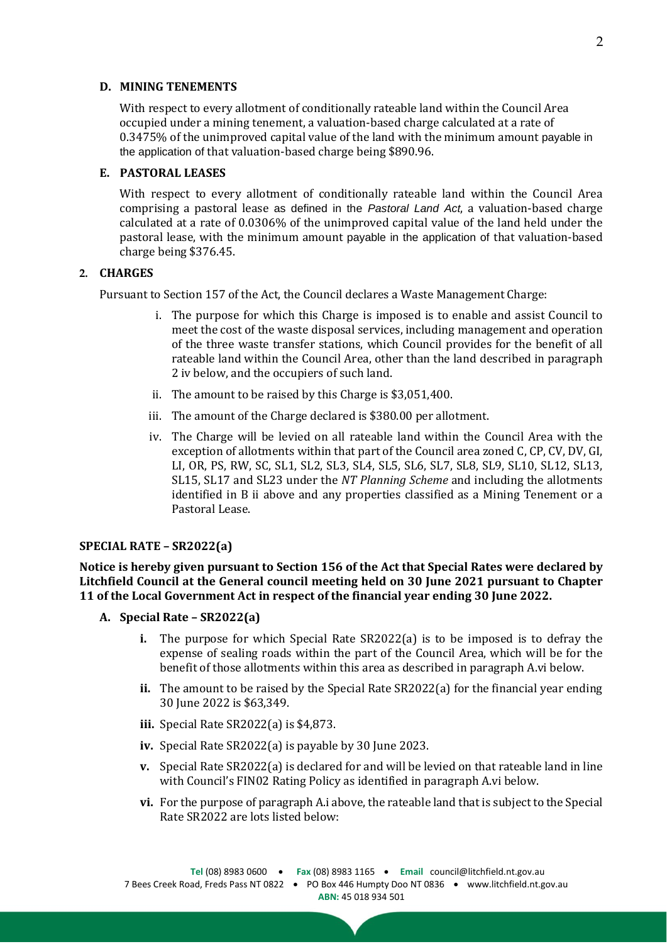#### **D. MINING TENEMENTS**

With respect to every allotment of conditionally rateable land within the Council Area occupied under a mining tenement, a valuation-based charge calculated at a rate of 0.3475% of the unimproved capital value of the land with the minimum amount payable in the application of that valuation-based charge being \$890.96.

### **E. PASTORAL LEASES**

With respect to every allotment of conditionally rateable land within the Council Area comprising a pastoral lease as defined in the *Pastoral Land Act*, a valuation-based charge calculated at a rate of 0.0306% of the unimproved capital value of the land held under the pastoral lease, with the minimum amount payable in the application of that valuation-based charge being \$376.45.

### **2. CHARGES**

Pursuant to Section 157 of the Act, the Council declares a Waste Management Charge:

- i. The purpose for which this Charge is imposed is to enable and assist Council to meet the cost of the waste disposal services, including management and operation of the three waste transfer stations, which Council provides for the benefit of all rateable land within the Council Area, other than the land described in paragraph 2 iv below, and the occupiers of such land.
- ii. The amount to be raised by this Charge is \$3,051,400.
- iii. The amount of the Charge declared is \$380.00 per allotment.
- iv. The Charge will be levied on all rateable land within the Council Area with the exception of allotments within that part of the Council area zoned C, CP, CV, DV, GI, LI, OR, PS, RW, SC, SL1, SL2, SL3, SL4, SL5, SL6, SL7, SL8, SL9, SL10, SL12, SL13, SL15, SL17 and SL23 under the *NT Planning Scheme* and including the allotments identified in B ii above and any properties classified as a Mining Tenement or a Pastoral Lease.

## **SPECIAL RATE – SR2022(a)**

**Notice is hereby given pursuant to Section 156 of the Act that Special Rates were declared by Litchfield Council at the General council meeting held on 30 June 2021 pursuant to Chapter 11 of the Local Government Act in respect of the financial year ending 30 June 2022.**

- **A. Special Rate – SR2022(a)**
	- **i.** The purpose for which Special Rate SR2022(a) is to be imposed is to defray the expense of sealing roads within the part of the Council Area, which will be for the benefit of those allotments within this area as described in paragraph A.vi below.
	- **ii.** The amount to be raised by the Special Rate SR2022(a) for the financial year ending 30 June 2022 is \$63,349.
	- **iii.** Special Rate SR2022(a) is \$4,873.
	- **iv.** Special Rate SR2022(a) is payable by 30 June 2023.
	- **v.** Special Rate SR2022(a) is declared for and will be levied on that rateable land in line with Council's FIN02 Rating Policy as identified in paragraph A.vi below.
	- **vi.** For the purpose of paragraph A.i above, the rateable land that is subject to the Special Rate SR2022 are lots listed below: